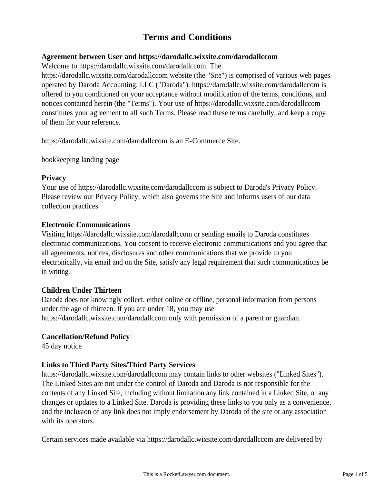# **Terms and Conditions**

#### **Agreement between User and https://darodallc.wixsite.com/darodallccom**

Welcome to https://darodallc.wixsite.com/darodallccom. The

https://darodallc.wixsite.com/darodallccom website (the "Site") is comprised of various web pages operated by Daroda Accounting, LLC ("Daroda"). https://darodallc.wixsite.com/darodallccom is offered to you conditioned on your acceptance without modification of the terms, conditions, and notices contained herein (the "Terms"). Your use of https://darodallc.wixsite.com/darodallccom constitutes your agreement to all such Terms. Please read these terms carefully, and keep a copy of them for your reference.

https://darodallc.wixsite.com/darodallccom is an E-Commerce Site.

bookkeeping landing page

#### **Privacy**

Your use of https://darodallc.wixsite.com/darodallccom is subject to Daroda's Privacy Policy. Please review our Privacy Policy, which also governs the Site and informs users of our data collection practices.

#### **Electronic Communications**

Visiting https://darodallc.wixsite.com/darodallccom or sending emails to Daroda constitutes electronic communications. You consent to receive electronic communications and you agree that all agreements, notices, disclosures and other communications that we provide to you electronically, via email and on the Site, satisfy any legal requirement that such communications be in writing.

# **Children Under Thirteen**

Daroda does not knowingly collect, either online or offline, personal information from persons under the age of thirteen. If you are under 18, you may use https://darodallc.wixsite.com/darodallccom only with permission of a parent or guardian.

#### **Cancellation/Refund Policy**

45 day notice

# **Links to Third Party Sites/Third Party Services**

https://darodallc.wixsite.com/darodallccom may contain links to other websites ("Linked Sites"). The Linked Sites are not under the control of Daroda and Daroda is not responsible for the contents of any Linked Site, including without limitation any link contained in a Linked Site, or any changes or updates to a Linked Site. Daroda is providing these links to you only as a convenience, and the inclusion of any link does not imply endorsement by Daroda of the site or any association with its operators.

Certain services made available via https://darodallc.wixsite.com/darodallccom are delivered by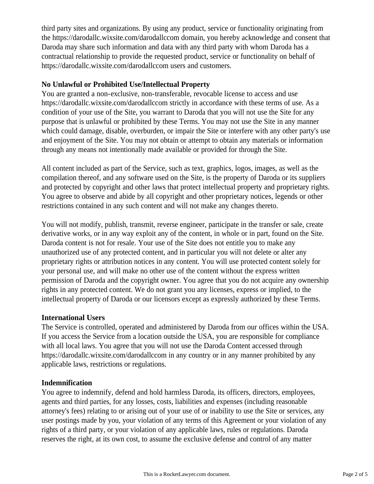third party sites and organizations. By using any product, service or functionality originating from the https://darodallc.wixsite.com/darodallccom domain, you hereby acknowledge and consent that Daroda may share such information and data with any third party with whom Daroda has a contractual relationship to provide the requested product, service or functionality on behalf of https://darodallc.wixsite.com/darodallccom users and customers.

#### **No Unlawful or Prohibited Use/Intellectual Property**

You are granted a non-exclusive, non-transferable, revocable license to access and use https://darodallc.wixsite.com/darodallccom strictly in accordance with these terms of use. As a condition of your use of the Site, you warrant to Daroda that you will not use the Site for any purpose that is unlawful or prohibited by these Terms. You may not use the Site in any manner which could damage, disable, overburden, or impair the Site or interfere with any other party's use and enjoyment of the Site. You may not obtain or attempt to obtain any materials or information through any means not intentionally made available or provided for through the Site.

All content included as part of the Service, such as text, graphics, logos, images, as well as the compilation thereof, and any software used on the Site, is the property of Daroda or its suppliers and protected by copyright and other laws that protect intellectual property and proprietary rights. You agree to observe and abide by all copyright and other proprietary notices, legends or other restrictions contained in any such content and will not make any changes thereto.

You will not modify, publish, transmit, reverse engineer, participate in the transfer or sale, create derivative works, or in any way exploit any of the content, in whole or in part, found on the Site. Daroda content is not for resale. Your use of the Site does not entitle you to make any unauthorized use of any protected content, and in particular you will not delete or alter any proprietary rights or attribution notices in any content. You will use protected content solely for your personal use, and will make no other use of the content without the express written permission of Daroda and the copyright owner. You agree that you do not acquire any ownership rights in any protected content. We do not grant you any licenses, express or implied, to the intellectual property of Daroda or our licensors except as expressly authorized by these Terms.

# **International Users**

The Service is controlled, operated and administered by Daroda from our offices within the USA. If you access the Service from a location outside the USA, you are responsible for compliance with all local laws. You agree that you will not use the Daroda Content accessed through https://darodallc.wixsite.com/darodallccom in any country or in any manner prohibited by any applicable laws, restrictions or regulations.

# **Indemnification**

You agree to indemnify, defend and hold harmless Daroda, its officers, directors, employees, agents and third parties, for any losses, costs, liabilities and expenses (including reasonable attorney's fees) relating to or arising out of your use of or inability to use the Site or services, any user postings made by you, your violation of any terms of this Agreement or your violation of any rights of a third party, or your violation of any applicable laws, rules or regulations. Daroda reserves the right, at its own cost, to assume the exclusive defense and control of any matter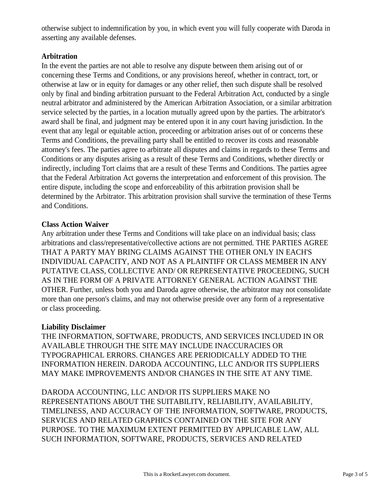otherwise subject to indemnification by you, in which event you will fully cooperate with Daroda in asserting any available defenses.

#### **Arbitration**

In the event the parties are not able to resolve any dispute between them arising out of or concerning these Terms and Conditions, or any provisions hereof, whether in contract, tort, or otherwise at law or in equity for damages or any other relief, then such dispute shall be resolved only by final and binding arbitration pursuant to the Federal Arbitration Act, conducted by a single neutral arbitrator and administered by the American Arbitration Association, or a similar arbitration service selected by the parties, in a location mutually agreed upon by the parties. The arbitrator's award shall be final, and judgment may be entered upon it in any court having jurisdiction. In the event that any legal or equitable action, proceeding or arbitration arises out of or concerns these Terms and Conditions, the prevailing party shall be entitled to recover its costs and reasonable attorney's fees. The parties agree to arbitrate all disputes and claims in regards to these Terms and Conditions or any disputes arising as a result of these Terms and Conditions, whether directly or indirectly, including Tort claims that are a result of these Terms and Conditions. The parties agree that the Federal Arbitration Act governs the interpretation and enforcement of this provision. The entire dispute, including the scope and enforceability of this arbitration provision shall be determined by the Arbitrator. This arbitration provision shall survive the termination of these Terms and Conditions.

# **Class Action Waiver**

Any arbitration under these Terms and Conditions will take place on an individual basis; class arbitrations and class/representative/collective actions are not permitted. THE PARTIES AGREE THAT A PARTY MAY BRING CLAIMS AGAINST THE OTHER ONLY IN EACH'S INDIVIDUAL CAPACITY, AND NOT AS A PLAINTIFF OR CLASS MEMBER IN ANY PUTATIVE CLASS, COLLECTIVE AND/ OR REPRESENTATIVE PROCEEDING, SUCH AS IN THE FORM OF A PRIVATE ATTORNEY GENERAL ACTION AGAINST THE OTHER. Further, unless both you and Daroda agree otherwise, the arbitrator may not consolidate more than one person's claims, and may not otherwise preside over any form of a representative or class proceeding.

# **Liability Disclaimer**

THE INFORMATION, SOFTWARE, PRODUCTS, AND SERVICES INCLUDED IN OR AVAILABLE THROUGH THE SITE MAY INCLUDE INACCURACIES OR TYPOGRAPHICAL ERRORS. CHANGES ARE PERIODICALLY ADDED TO THE INFORMATION HEREIN. DARODA ACCOUNTING, LLC AND/OR ITS SUPPLIERS MAY MAKE IMPROVEMENTS AND/OR CHANGES IN THE SITE AT ANY TIME.

DARODA ACCOUNTING, LLC AND/OR ITS SUPPLIERS MAKE NO REPRESENTATIONS ABOUT THE SUITABILITY, RELIABILITY, AVAILABILITY, TIMELINESS, AND ACCURACY OF THE INFORMATION, SOFTWARE, PRODUCTS, SERVICES AND RELATED GRAPHICS CONTAINED ON THE SITE FOR ANY PURPOSE. TO THE MAXIMUM EXTENT PERMITTED BY APPLICABLE LAW, ALL SUCH INFORMATION, SOFTWARE, PRODUCTS, SERVICES AND RELATED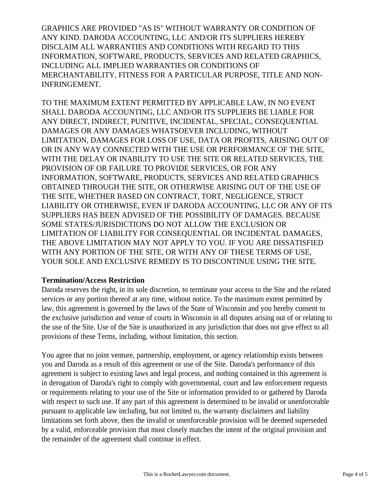GRAPHICS ARE PROVIDED "AS IS" WITHOUT WARRANTY OR CONDITION OF ANY KIND. DARODA ACCOUNTING, LLC AND/OR ITS SUPPLIERS HEREBY DISCLAIM ALL WARRANTIES AND CONDITIONS WITH REGARD TO THIS INFORMATION, SOFTWARE, PRODUCTS, SERVICES AND RELATED GRAPHICS, INCLUDING ALL IMPLIED WARRANTIES OR CONDITIONS OF MERCHANTABILITY, FITNESS FOR A PARTICULAR PURPOSE, TITLE AND NON-INFRINGEMENT.

TO THE MAXIMUM EXTENT PERMITTED BY APPLICABLE LAW, IN NO EVENT SHALL DARODA ACCOUNTING, LLC AND/OR ITS SUPPLIERS BE LIABLE FOR ANY DIRECT, INDIRECT, PUNITIVE, INCIDENTAL, SPECIAL, CONSEQUENTIAL DAMAGES OR ANY DAMAGES WHATSOEVER INCLUDING, WITHOUT LIMITATION, DAMAGES FOR LOSS OF USE, DATA OR PROFITS, ARISING OUT OF OR IN ANY WAY CONNECTED WITH THE USE OR PERFORMANCE OF THE SITE, WITH THE DELAY OR INABILITY TO USE THE SITE OR RELATED SERVICES, THE PROVISION OF OR FAILURE TO PROVIDE SERVICES, OR FOR ANY INFORMATION, SOFTWARE, PRODUCTS, SERVICES AND RELATED GRAPHICS OBTAINED THROUGH THE SITE, OR OTHERWISE ARISING OUT OF THE USE OF THE SITE, WHETHER BASED ON CONTRACT, TORT, NEGLIGENCE, STRICT LIABILITY OR OTHERWISE, EVEN IF DARODA ACCOUNTING, LLC OR ANY OF ITS SUPPLIERS HAS BEEN ADVISED OF THE POSSIBILITY OF DAMAGES. BECAUSE SOME STATES/JURISDICTIONS DO NOT ALLOW THE EXCLUSION OR LIMITATION OF LIABILITY FOR CONSEQUENTIAL OR INCIDENTAL DAMAGES, THE ABOVE LIMITATION MAY NOT APPLY TO YOU. IF YOU ARE DISSATISFIED WITH ANY PORTION OF THE SITE, OR WITH ANY OF THESE TERMS OF USE, YOUR SOLE AND EXCLUSIVE REMEDY IS TO DISCONTINUE USING THE SITE.

#### **Termination/Access Restriction**

Daroda reserves the right, in its sole discretion, to terminate your access to the Site and the related services or any portion thereof at any time, without notice. To the maximum extent permitted by law, this agreement is governed by the laws of the State of Wisconsin and you hereby consent to the exclusive jurisdiction and venue of courts in Wisconsin in all disputes arising out of or relating to the use of the Site. Use of the Site is unauthorized in any jurisdiction that does not give effect to all provisions of these Terms, including, without limitation, this section.

You agree that no joint venture, partnership, employment, or agency relationship exists between you and Daroda as a result of this agreement or use of the Site. Daroda's performance of this agreement is subject to existing laws and legal process, and nothing contained in this agreement is in derogation of Daroda's right to comply with governmental, court and law enforcement requests or requirements relating to your use of the Site or information provided to or gathered by Daroda with respect to such use. If any part of this agreement is determined to be invalid or unenforceable pursuant to applicable law including, but not limited to, the warranty disclaimers and liability limitations set forth above, then the invalid or unenforceable provision will be deemed superseded by a valid, enforceable provision that most closely matches the intent of the original provision and the remainder of the agreement shall continue in effect.